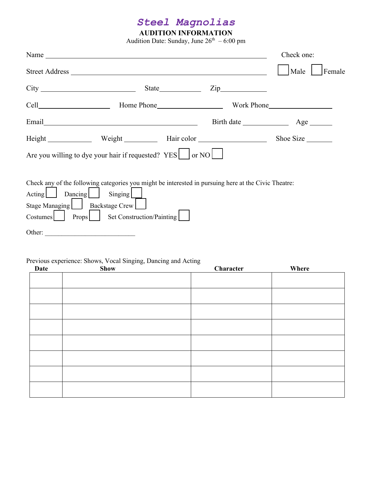## *Steel Magnolias*

## **AUDITION INFORMATION**

Audition Date: Sunday, June  $26^{\text{th}} - 6:00$  pm

| Name has a series of the series of the series of the series of the series of the series of the series of the series of the series of the series of the series of the series of the series of the series of the series of the s |                                              |                         | Check one:     |
|--------------------------------------------------------------------------------------------------------------------------------------------------------------------------------------------------------------------------------|----------------------------------------------|-------------------------|----------------|
|                                                                                                                                                                                                                                |                                              |                         | Male<br>Female |
|                                                                                                                                                                                                                                |                                              | $\overline{\text{Zip}}$ |                |
|                                                                                                                                                                                                                                |                                              |                         |                |
|                                                                                                                                                                                                                                |                                              |                         |                |
| Height Weight Hair color                                                                                                                                                                                                       |                                              |                         | Shoe Size      |
| Are you willing to dye your hair if requested? YES $ $ or NO $ $                                                                                                                                                               |                                              |                         |                |
| Check any of the following categories you might be interested in pursuing here at the Civic Theatre:<br>Acting Dancing<br>Stage Managing   Backstage Crew<br>Costumes<br>Other:                                                | Singing<br>Props   Set Construction/Painting |                         |                |
|                                                                                                                                                                                                                                |                                              |                         |                |

## Previous experience: Shows, Vocal Singing, Dancing and Acting

| Date | <b>Show</b> | Character | Where |
|------|-------------|-----------|-------|
|      |             |           |       |
|      |             |           |       |
|      |             |           |       |
|      |             |           |       |
|      |             |           |       |
|      |             |           |       |
|      |             |           |       |
|      |             |           |       |
|      |             |           |       |
|      |             |           |       |
|      |             |           |       |
|      |             |           |       |
|      |             |           |       |
|      |             |           |       |
|      |             |           |       |
|      |             |           |       |
|      |             |           |       |
|      |             |           |       |
|      |             |           |       |